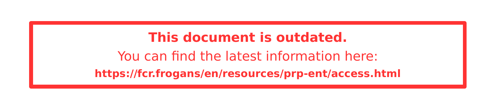#### **This document is outdated.** You can fnd the latest information here: **<https://fcr.frogans/en/resources/prp-ent/access.html>**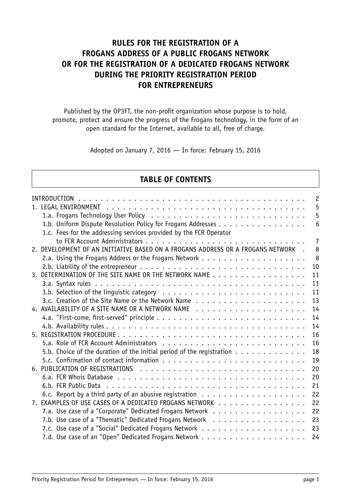## **RULES FOR THE REGISTRATION OF A FROGANS ADDRESS OF A PUBLIC FROGANS NETWORK OR FOR THE REGISTRATION OF A DEDICATED FROGANS NETWORK DURING THE PRIORITY REGISTRATION PERIOD FOR ENTREPRENEURS**

Published by the OP3FT, the non-profit organization whose purpose is to hold, promote, protect and ensure the progress of the Frogans technology, in the form of an open standard for the Internet, available to all, free of charge.

Adopted on January 7, 2016 — In force: February 15, 2016

### **TABLE OF CONTENTS**

| 5<br>5<br>6<br>1.c. Fees for the addressing services provided by the FCR Operator<br>7<br>2. DEVELOPMENT OF AN INITIATIVE BASED ON A FROGANS ADDRESS OR A FROGANS NETWORK.<br>8<br>8<br>10<br>2.b. Liability of the entrepreneur $\ldots \ldots \ldots \ldots \ldots \ldots \ldots \ldots \ldots \ldots \ldots$<br>3. DETERMINATION OF THE SITE NAME OR THE NETWORK NAME<br>11<br>11<br>11<br>13<br>4. AVAILABILITY OF A SITE NAME OR A NETWORK NAME<br>14<br>14<br>14<br>16<br>16<br>5.b. Choice of the duration of the initial period of the registration $\dots \dots \dots \dots$<br>18<br>19<br>20<br>20 |
|---------------------------------------------------------------------------------------------------------------------------------------------------------------------------------------------------------------------------------------------------------------------------------------------------------------------------------------------------------------------------------------------------------------------------------------------------------------------------------------------------------------------------------------------------------------------------------------------------------------|
|                                                                                                                                                                                                                                                                                                                                                                                                                                                                                                                                                                                                               |
|                                                                                                                                                                                                                                                                                                                                                                                                                                                                                                                                                                                                               |
|                                                                                                                                                                                                                                                                                                                                                                                                                                                                                                                                                                                                               |
|                                                                                                                                                                                                                                                                                                                                                                                                                                                                                                                                                                                                               |
|                                                                                                                                                                                                                                                                                                                                                                                                                                                                                                                                                                                                               |
|                                                                                                                                                                                                                                                                                                                                                                                                                                                                                                                                                                                                               |
|                                                                                                                                                                                                                                                                                                                                                                                                                                                                                                                                                                                                               |
|                                                                                                                                                                                                                                                                                                                                                                                                                                                                                                                                                                                                               |
|                                                                                                                                                                                                                                                                                                                                                                                                                                                                                                                                                                                                               |
|                                                                                                                                                                                                                                                                                                                                                                                                                                                                                                                                                                                                               |
|                                                                                                                                                                                                                                                                                                                                                                                                                                                                                                                                                                                                               |
|                                                                                                                                                                                                                                                                                                                                                                                                                                                                                                                                                                                                               |
|                                                                                                                                                                                                                                                                                                                                                                                                                                                                                                                                                                                                               |
|                                                                                                                                                                                                                                                                                                                                                                                                                                                                                                                                                                                                               |
|                                                                                                                                                                                                                                                                                                                                                                                                                                                                                                                                                                                                               |
|                                                                                                                                                                                                                                                                                                                                                                                                                                                                                                                                                                                                               |
|                                                                                                                                                                                                                                                                                                                                                                                                                                                                                                                                                                                                               |
|                                                                                                                                                                                                                                                                                                                                                                                                                                                                                                                                                                                                               |
|                                                                                                                                                                                                                                                                                                                                                                                                                                                                                                                                                                                                               |
|                                                                                                                                                                                                                                                                                                                                                                                                                                                                                                                                                                                                               |
|                                                                                                                                                                                                                                                                                                                                                                                                                                                                                                                                                                                                               |
| 21                                                                                                                                                                                                                                                                                                                                                                                                                                                                                                                                                                                                            |
| 22                                                                                                                                                                                                                                                                                                                                                                                                                                                                                                                                                                                                            |
| 7. EXAMPLES OF USE CASES OF A DEDICATED FROGANS NETWORK<br>22                                                                                                                                                                                                                                                                                                                                                                                                                                                                                                                                                 |
| 7.a. Use case of a "Corporate" Dedicated Frogans Network<br>22                                                                                                                                                                                                                                                                                                                                                                                                                                                                                                                                                |
| 7.b. Use case of a "Thematic" Dedicated Frogans Network<br>23                                                                                                                                                                                                                                                                                                                                                                                                                                                                                                                                                 |
| 23                                                                                                                                                                                                                                                                                                                                                                                                                                                                                                                                                                                                            |
| 24                                                                                                                                                                                                                                                                                                                                                                                                                                                                                                                                                                                                            |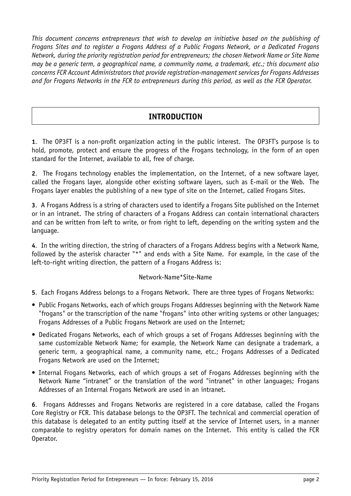*This document concerns entrepreneurs that wish to develop an initiative based on the publishing of Frogans Sites and to register a Frogans Address of a Public Frogans Network, or a Dedicated Frogans Network, during the priority registration period for entrepreneurs; the chosen Network Name or Site Name may be a generic term, a geographical name, a community name, a trademark, etc.; this document also concerns FCR Account Administrators that provide registration-management services for Frogans Addresses and for Frogans Networks in the FCR to entrepreneurs during this period, as well as the FCR Operator.*

## **INTRODUCTION**

<span id="page-2-0"></span>**1**. The OP3FT is a non-profit organization acting in the public interest. The OP3FT's purpose is to hold, promote, protect and ensure the progress of the Frogans technology, in the form of an open standard for the Internet, available to all, free of charge.

**2**. The Frogans technology enables the implementation, on the Internet, of a new software layer, called the Frogans layer, alongside other existing software layers, such as E-mail or the Web. The Frogans layer enables the publishing of a new type of site on the Internet, called Frogans Sites.

**3**. A Frogans Address is a string of characters used to identify a Frogans Site published on the Internet or in an intranet. The string of characters of a Frogans Address can contain international characters and can be written from left to write, or from right to left, depending on the writing system and the language.

**4**. In the writing direction, the string of characters of a Frogans Address begins with a Network Name, followed by the asterisk character "\*" and ends with a Site Name. For example, in the case of the left-to-right writing direction, the pattern of a Frogans Address is:

#### Network-Name\*Site-Name

**5**. Each Frogans Address belongs to a Frogans Network. There are three types of Frogans Networks:

- Public Frogans Networks, each of which groups Frogans Addresses beginning with the Network Name "frogans" or the transcription of the name "frogans" into other writing systems or other languages; Frogans Addresses of a Public Frogans Network are used on the Internet;
- Dedicated Frogans Networks, each of which groups a set of Frogans Addresses beginning with the same customizable Network Name; for example, the Network Name can designate a trademark, a generic term, a geographical name, a community name, etc.; Frogans Addresses of a Dedicated Frogans Network are used on the Internet;
- Internal Frogans Networks, each of which groups a set of Frogans Addresses beginning with the Network Name "intranet" or the translation of the word "intranet" in other languages; Frogans Addresses of an Internal Frogans Network are used in an intranet.

**6**. Frogans Addresses and Frogans Networks are registered in a core database, called the Frogans Core Registry or FCR. This database belongs to the OP3FT. The technical and commercial operation of this database is delegated to an entity putting itself at the service of Internet users, in a manner comparable to registry operators for domain names on the Internet. This entity is called the FCR Operator.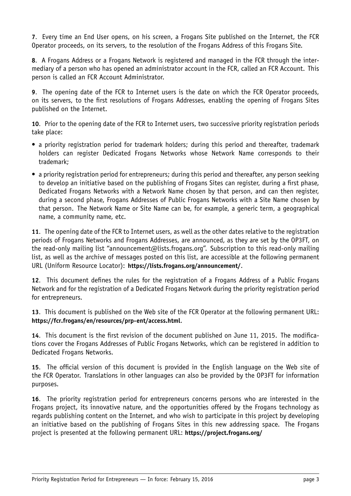**7**. Every time an End User opens, on his screen, a Frogans Site published on the Internet, the FCR Operator proceeds, on its servers, to the resolution of the Frogans Address of this Frogans Site.

**8**. A Frogans Address or a Frogans Network is registered and managed in the FCR through the intermediary of a person who has opened an administrator account in the FCR, called an FCR Account. This person is called an FCR Account Administrator.

**9**. The opening date of the FCR to Internet users is the date on which the FCR Operator proceeds, on its servers, to the first resolutions of Frogans Addresses, enabling the opening of Frogans Sites published on the Internet.

**10**. Prior to the opening date of the FCR to Internet users, two successive priority registration periods take place:

- a priority registration period for trademark holders; during this period and thereafter, trademark holders can register Dedicated Frogans Networks whose Network Name corresponds to their trademark;
- a priority registration period for entrepreneurs; during this period and thereafter, any person seeking to develop an initiative based on the publishing of Frogans Sites can register, during a first phase, Dedicated Frogans Networks with a Network Name chosen by that person, and can then register, during a second phase, Frogans Addresses of Public Frogans Networks with a Site Name chosen by that person. The Network Name or Site Name can be, for example, a generic term, a geographical name, a community name, etc.

**11**. The opening date of the FCR to Internet users, as well as the other dates relative to the registration periods of Frogans Networks and Frogans Addresses, are announced, as they are set by the OP3FT, on the read-only mailing list "announcement@lists.frogans.org". Subscription to this read-only mailing list, as well as the archive of messages posted on this list, are accessible at the following permanent URL (Uniform Resource Locator): **<https://lists.frogans.org/announcement/>**.

**12**. This document defines the rules for the registration of a Frogans Address of a Public Frogans Network and for the registration of a Dedicated Frogans Network during the priority registration period for entrepreneurs.

**13**. This document is published on the Web site of the FCR Operator at the following permanent URL: **<https://fcr.frogans/en/resources/prp-ent/access.html>**.

**14**. This document is the first revision of the document published on June 11, 2015. The modifications cover the Frogans Addresses of Public Frogans Networks, which can be registered in addition to Dedicated Frogans Networks.

**15**. The official version of this document is provided in the English language on the Web site of the FCR Operator. Translations in other languages can also be provided by the OP3FT for information purposes.

**16**. The priority registration period for entrepreneurs concerns persons who are interested in the Frogans project, its innovative nature, and the opportunities offered by the Frogans technology as regards publishing content on the Internet, and who wish to participate in this project by developing an initiative based on the publishing of Frogans Sites in this new addressing space. The Frogans project is presented at the following permanent URL: **<https://project.frogans.org/>**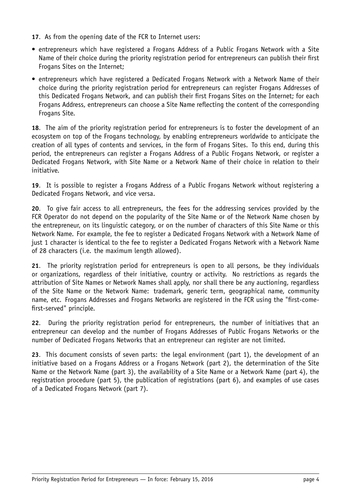- **17**. As from the opening date of the FCR to Internet users:
- entrepreneurs which have registered a Frogans Address of a Public Frogans Network with a Site Name of their choice during the priority registration period for entrepreneurs can publish their first Frogans Sites on the Internet;
- entrepreneurs which have registered a Dedicated Frogans Network with a Network Name of their choice during the priority registration period for entrepreneurs can register Frogans Addresses of this Dedicated Frogans Network, and can publish their first Frogans Sites on the Internet; for each Frogans Address, entrepreneurs can choose a Site Name reflecting the content of the corresponding Frogans Site.

**18**. The aim of the priority registration period for entrepreneurs is to foster the development of an ecosystem on top of the Frogans technology, by enabling entrepreneurs worldwide to anticipate the creation of all types of contents and services, in the form of Frogans Sites. To this end, during this period, the entrepreneurs can register a Frogans Address of a Public Frogans Network, or register a Dedicated Frogans Network, with Site Name or a Network Name of their choice in relation to their initiative.

**19**. It is possible to register a Frogans Address of a Public Frogans Network without registering a Dedicated Frogans Network, and vice versa.

**20**. To give fair access to all entrepreneurs, the fees for the addressing services provided by the FCR Operator do not depend on the popularity of the Site Name or of the Network Name chosen by the entrepreneur, on its linguistic category, or on the number of characters of this Site Name or this Network Name. For example, the fee to register a Dedicated Frogans Network with a Network Name of just 1 character is identical to the fee to register a Dedicated Frogans Network with a Network Name of 28 characters (i.e. the maximum length allowed).

**21**. The priority registration period for entrepreneurs is open to all persons, be they individuals or organizations, regardless of their initiative, country or activity. No restrictions as regards the attribution of Site Names or Network Names shall apply, nor shall there be any auctioning, regardless of the Site Name or the Network Name: trademark, generic term, geographical name, community name, etc. Frogans Addresses and Frogans Networks are registered in the FCR using the "first-comefirst-served" principle.

**22**. During the priority registration period for entrepreneurs, the number of initiatives that an entrepreneur can develop and the number of Frogans Addresses of Public Frogans Networks or the number of Dedicated Frogans Networks that an entrepreneur can register are not limited.

**23**. This document consists of seven parts: the legal environment (part 1), the development of an initiative based on a Frogans Address or a Frogans Network (part 2), the determination of the Site Name or the Network Name (part 3), the availability of a Site Name or a Network Name (part 4), the registration procedure (part 5), the publication of registrations (part 6), and examples of use cases of a Dedicated Frogans Network (part 7).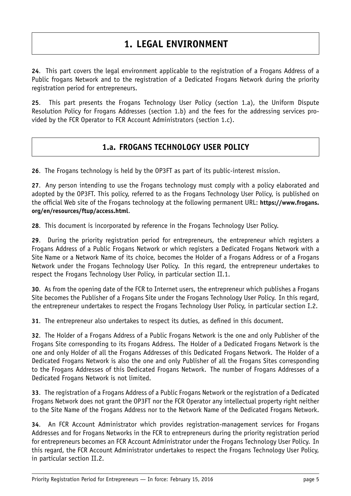# **1. LEGAL ENVIRONMENT**

<span id="page-5-0"></span>**24**. This part covers the legal environment applicable to the registration of a Frogans Address of a Public frogans Network and to the registration of a Dedicated Frogans Network during the priority registration period for entrepreneurs.

<span id="page-5-1"></span>**25**. This part presents the Frogans Technology User Policy (section 1.a), the Uniform Dispute Resolution Policy for Frogans Addresses (section 1.b) and the fees for the addressing services provided by the FCR Operator to FCR Account Administrators (section 1.c).

#### **1.a. FROGANS TECHNOLOGY USER POLICY**

**26**. The Frogans technology is held by the OP3FT as part of its public-interest mission.

**27**. Any person intending to use the Frogans technology must comply with a policy elaborated and adopted by the OP3FT. This policy, referred to as the Frogans Technology User Policy, is published on the official Web site of the Frogans technology at the following permanent URL: **[https://www.frogans.](https://www.frogans.org/en/resources/ftup/access.html) [org/en/resources/ftup/access.html](https://www.frogans.org/en/resources/ftup/access.html)**.

**28**. This document is incorporated by reference in the Frogans Technology User Policy.

**29**. During the priority registration period for entrepreneurs, the entrepreneur which registers a Frogans Address of a Public Frogans Network or which registers a Dedicated Frogans Network with a Site Name or a Network Name of its choice, becomes the Holder of a Frogans Address or of a Frogans Network under the Frogans Technology User Policy. In this regard, the entrepreneur undertakes to respect the Frogans Technology User Policy, in particular section II.1.

**30**. As from the opening date of the FCR to Internet users, the entrepreneur which publishes a Frogans Site becomes the Publisher of a Frogans Site under the Frogans Technology User Policy. In this regard, the entrepreneur undertakes to respect the Frogans Technology User Policy, in particular section I.2.

**31**. The entrepreneur also undertakes to respect its duties, as defined in this document.

**32**. The Holder of a Frogans Address of a Public Frogans Network is the one and only Publisher of the Frogans Site corresponding to its Frogans Address. The Holder of a Dedicated Frogans Network is the one and only Holder of all the Frogans Addresses of this Dedicated Frogans Network. The Holder of a Dedicated Frogans Network is also the one and only Publisher of all the Frogans Sites corresponding to the Frogans Addresses of this Dedicated Frogans Network. The number of Frogans Addresses of a Dedicated Frogans Network is not limited.

**33**. The registration of a Frogans Address of a Public Frogans Network or the registration of a Dedicated Frogans Network does not grant the OP3FT nor the FCR Operator any intellectual property right neither to the Site Name of the Frogans Address nor to the Network Name of the Dedicated Frogans Network.

**34**. An FCR Account Administrator which provides registration-management services for Frogans Addresses and for Frogans Networks in the FCR to entrepreneurs during the priority registration period for entrepreneurs becomes an FCR Account Administrator under the Frogans Technology User Policy. In this regard, the FCR Account Administrator undertakes to respect the Frogans Technology User Policy, in particular section II.2.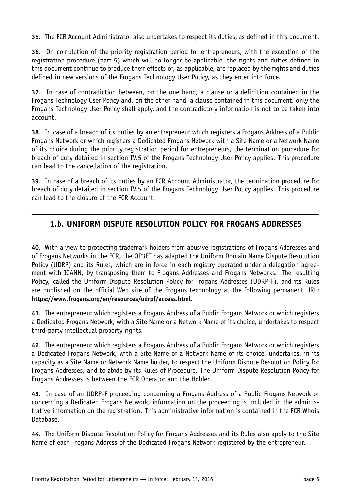**35**. The FCR Account Administrator also undertakes to respect its duties, as defined in this document.

**36**. On completion of the priority registration period for entrepreneurs, with the exception of the registration procedure (part 5) which will no longer be applicable, the rights and duties defined in this document continue to produce their effects or, as applicable, are replaced by the rights and duties defined in new versions of the Frogans Technology User Policy, as they enter into force.

**37**. In case of contradiction between, on the one hand, a clause or a definition contained in the Frogans Technology User Policy and, on the other hand, a clause contained in this document, only the Frogans Technology User Policy shall apply, and the contradictory information is not to be taken into account.

**38**. In case of a breach of its duties by an entrepreneur which registers a Frogans Address of a Public Frogans Network or which registers a Dedicated Frogans Network with a Site Name or a Network Name of its choice during the priority registration period for entrepreneurs, the termination procedure for breach of duty detailed in section IV.5 of the Frogans Technology User Policy applies. This procedure can lead to the cancellation of the registration.

**39**. In case of a breach of its duties by an FCR Account Administrator, the termination procedure for breach of duty detailed in section IV.5 of the Frogans Technology User Policy applies. This procedure can lead to the closure of the FCR Account.

#### <span id="page-6-0"></span>**1.b. UNIFORM DISPUTE RESOLUTION POLICY FOR FROGANS ADDRESSES**

**40**. With a view to protecting trademark holders from abusive registrations of Frogans Addresses and of Frogans Networks in the FCR, the OP3FT has adapted the Uniform Domain Name Dispute Resolution Policy (UDRP) and its Rules, which are in force in each registry operated under a delegation agreement with ICANN, by transposing them to Frogans Addresses and Frogans Networks. The resulting Policy, called the Uniform Dispute Resolution Policy for Frogans Addresses (UDRP-F), and its Rules are published on the official Web site of the Frogans technology at the following permanent URL: **<https://www.frogans.org/en/resources/udrpf/access.html>**.

**41**. The entrepreneur which registers a Frogans Address of a Public Frogans Network or which registers a Dedicated Frogans Network, with a Site Name or a Network Name of its choice, undertakes to respect third-party intellectual property rights.

**42**. The entrepreneur which registers a Frogans Address of a Public Frogans Network or which registers a Dedicated Frogans Network, with a Site Name or a Network Name of its choice, undertakes, in its capacity as a Site Name or Network Name holder, to respect the Uniform Dispute Resolution Policy for Frogans Addresses, and to abide by its Rules of Procedure. The Uniform Dispute Resolution Policy for Frogans Addresses is between the FCR Operator and the Holder.

**43**. In case of an UDRP-F proceeding concerning a Frogans Address of a Public Frogans Network or concerning a Dedicated Frogans Network, information on the proceeding is included in the administrative information on the registration. This administrative information is contained in the FCR Whois Database.

**44**. The Uniform Dispute Resolution Policy for Frogans Addresses and its Rules also apply to the Site Name of each Frogans Address of the Dedicated Frogans Network registered by the entrepreneur.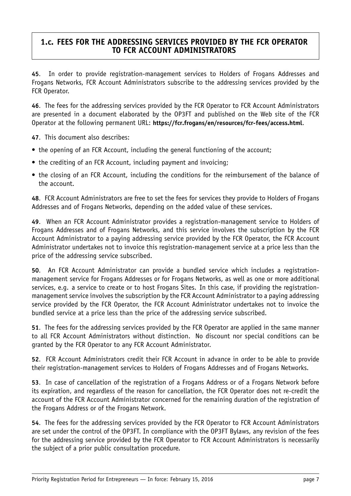#### <span id="page-7-0"></span>**1.c. FEES FOR THE ADDRESSING SERVICES PROVIDED BY THE FCR OPERATOR TO FCR ACCOUNT ADMINISTRATORS**

**45**. In order to provide registration-management services to Holders of Frogans Addresses and Frogans Networks, FCR Account Administrators subscribe to the addressing services provided by the FCR Operator.

**46**. The fees for the addressing services provided by the FCR Operator to FCR Account Administrators are presented in a document elaborated by the OP3FT and published on the Web site of the FCR Operator at the following permanent URL: **<https://fcr.frogans/en/resources/fcr-fees/access.html>**.

**47**. This document also describes:

- the opening of an FCR Account, including the general functioning of the account;
- the crediting of an FCR Account, including payment and invoicing;
- the closing of an FCR Account, including the conditions for the reimbursement of the balance of the account.

**48**. FCR Account Administrators are free to set the fees for services they provide to Holders of Frogans Addresses and of Frogans Networks, depending on the added value of these services.

**49**. When an FCR Account Administrator provides a registration-management service to Holders of Frogans Addresses and of Frogans Networks, and this service involves the subscription by the FCR Account Administrator to a paying addressing service provided by the FCR Operator, the FCR Account Administrator undertakes not to invoice this registration-management service at a price less than the price of the addressing service subscribed.

**50**. An FCR Account Administrator can provide a bundled service which includes a registrationmanagement service for Frogans Addresses or for Frogans Networks, as well as one or more additional services, e.g. a service to create or to host Frogans Sites. In this case, if providing the registrationmanagement service involves the subscription by the FCR Account Administrator to a paying addressing service provided by the FCR Operator, the FCR Account Administrator undertakes not to invoice the bundled service at a price less than the price of the addressing service subscribed.

**51**. The fees for the addressing services provided by the FCR Operator are applied in the same manner to all FCR Account Administrators without distinction. No discount nor special conditions can be granted by the FCR Operator to any FCR Account Administrator.

**52**. FCR Account Administrators credit their FCR Account in advance in order to be able to provide their registration-management services to Holders of Frogans Addresses and of Frogans Networks.

**53**. In case of cancellation of the registration of a Frogans Address or of a Frogans Network before its expiration, and regardless of the reason for cancellation, the FCR Operator does not re-credit the account of the FCR Account Administrator concerned for the remaining duration of the registration of the Frogans Address or of the Frogans Network.

**54**. The fees for the addressing services provided by the FCR Operator to FCR Account Administrators are set under the control of the OP3FT. In compliance with the OP3FT Bylaws, any revision of the fees for the addressing service provided by the FCR Operator to FCR Account Administrators is necessarily the subject of a prior public consultation procedure.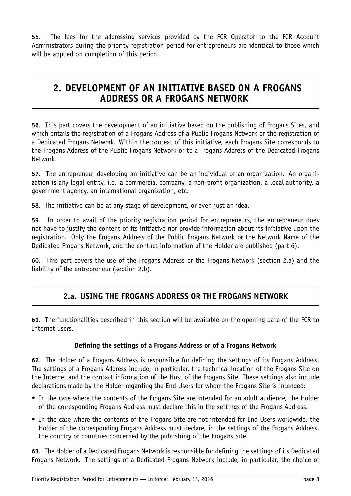**55**. The fees for the addressing services provided by the FCR Operator to the FCR Account Administrators during the priority registration period for entrepreneurs are identical to those which will be applied on completion of this period.

# <span id="page-8-0"></span>**2. DEVELOPMENT OF AN INITIATIVE BASED ON A FROGANS ADDRESS OR A FROGANS NETWORK**

**56**. This part covers the development of an initiative based on the publishing of Frogans Sites, and which entails the registration of a Frogans Address of a Public Frogans Network or the registration of a Dedicated Frogans Network. Within the context of this initiative, each Frogans Site corresponds to the Frogans Address of the Public Frogans Network or to a Frogans Address of the Dedicated Frogans Network.

**57**. The entrepreneur developing an initiative can be an individual or an organization. An organization is any legal entity, i.e. a commercial company, a non-profit organization, a local authority, a government agency, an international organization, etc.

**58**. The initiative can be at any stage of development, or even just an idea.

**59**. In order to avail of the priority registration period for entrepreneurs, the entrepreneur does not have to justify the content of its initiative nor provide information about its initiative upon the registration. Only the Frogans Address of the Public Frogans Network or the Network Name of the Dedicated Frogans Network, and the contact information of the Holder are published (part 6).

<span id="page-8-1"></span>**60**. This part covers the use of the Frogans Address or the Frogans Network (section 2.a) and the liability of the entrepreneur (section 2.b).

## **2.a. USING THE FROGANS ADDRESS OR THE FROGANS NETWORK**

**61**. The functionalities described in this section will be available on the opening date of the FCR to Internet users.

#### **Defining the settings of a Frogans Address or of a Frogans Network**

**62**. The Holder of a Frogans Address is responsible for defining the settings of its Frogans Address. The settings of a Frogans Address include, in particular, the technical location of the Frogans Site on the Internet and the contact information of the Host of the Frogans Site. These settings also include declarations made by the Holder regarding the End Users for whom the Frogans Site is intended:

- In the case where the contents of the Frogans Site are intended for an adult audience, the Holder of the corresponding Frogans Address must declare this in the settings of the Frogans Address.
- In the case where the contents of the Frogans Site are not intended for End Users worldwide, the Holder of the corresponding Frogans Address must declare, in the settings of the Frogans Address, the country or countries concerned by the publishing of the Frogans Site.

**63**. The Holder of a Dedicated Frogans Network is responsible for defining the settings of its Dedicated Frogans Network. The settings of a Dedicated Frogans Network include, in particular, the choice of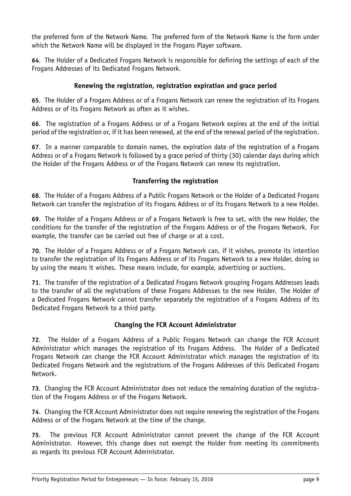the preferred form of the Network Name. The preferred form of the Network Name is the form under which the Network Name will be displayed in the Frogans Player software.

**64**. The Holder of a Dedicated Frogans Network is responsible for defining the settings of each of the Frogans Addresses of its Dedicated Frogans Network.

#### **Renewing the registration, registration expiration and grace period**

**65**. The Holder of a Frogans Address or of a Frogans Network can renew the registration of its Frogans Address or of its Frogans Network as often as it wishes.

**66**. The registration of a Frogans Address or of a Frogans Network expires at the end of the initial period of the registration or, if it has been renewed, at the end of the renewal period of the registration.

**67**. In a manner comparable to domain names, the expiration date of the registration of a Frogans Address or of a Frogans Network is followed by a grace period of thirty (30) calendar days during which the Holder of the Frogans Address or of the Frogans Network can renew its registration.

#### **Transferring the registration**

**68**. The Holder of a Frogans Address of a Public Frogans Network or the Holder of a Dedicated Frogans Network can transfer the registration of its Frogans Address or of its Frogans Network to a new Holder.

**69**. The Holder of a Frogans Address or of a Frogans Network is free to set, with the new Holder, the conditions for the transfer of the registration of the Frogans Address or of the Frogans Network. For example, the transfer can be carried out free of charge or at a cost.

**70**. The Holder of a Frogans Address or of a Frogans Network can, if it wishes, promote its intention to transfer the registration of its Frogans Address or of its Frogans Network to a new Holder, doing so by using the means it wishes. These means include, for example, advertising or auctions.

**71**. The transfer of the registration of a Dedicated Frogans Network grouping Frogans Addresses leads to the transfer of all the registrations of these Frogans Addresses to the new Holder. The Holder of a Dedicated Frogans Network cannot transfer separately the registration of a Frogans Address of its Dedicated Frogans Network to a third party.

#### **Changing the FCR Account Administrator**

**72**. The Holder of a Frogans Address of a Public Frogans Network can change the FCR Account Administrator which manages the registration of its Frogans Address. The Holder of a Dedicated Frogans Network can change the FCR Account Administrator which manages the registration of its Dedicated Frogans Network and the registrations of the Frogans Addresses of this Dedicated Frogans Network.

**73**. Changing the FCR Account Administrator does not reduce the remaining duration of the registration of the Frogans Address or of the Frogans Network.

**74**. Changing the FCR Account Administrator does not require renewing the registration of the Frogans Address or of the Frogans Network at the time of the change.

**75**. The previous FCR Account Administrator cannot prevent the change of the FCR Account Administrator. However, this change does not exempt the Holder from meeting its commitments as regards its previous FCR Account Administrator.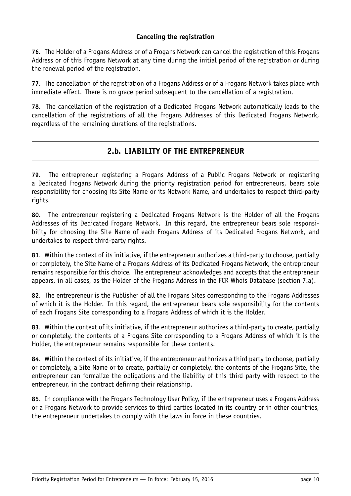#### **Canceling the registration**

**76**. The Holder of a Frogans Address or of a Frogans Network can cancel the registration of this Frogans Address or of this Frogans Network at any time during the initial period of the registration or during the renewal period of the registration.

**77**. The cancellation of the registration of a Frogans Address or of a Frogans Network takes place with immediate effect. There is no grace period subsequent to the cancellation of a registration.

<span id="page-10-0"></span>**78**. The cancellation of the registration of a Dedicated Frogans Network automatically leads to the cancellation of the registrations of all the Frogans Addresses of this Dedicated Frogans Network, regardless of the remaining durations of the registrations.

### **2.b. LIABILITY OF THE ENTREPRENEUR**

**79**. The entrepreneur registering a Frogans Address of a Public Frogans Network or registering a Dedicated Frogans Network during the priority registration period for entrepreneurs, bears sole responsibility for choosing its Site Name or its Network Name, and undertakes to respect third-party rights.

**80**. The entrepreneur registering a Dedicated Frogans Network is the Holder of all the Frogans Addresses of its Dedicated Frogans Network. In this regard, the entrepreneur bears sole responsibility for choosing the Site Name of each Frogans Address of its Dedicated Frogans Network, and undertakes to respect third-party rights.

**81**. Within the context of its initiative, if the entrepreneur authorizes a third-party to choose, partially or completely, the Site Name of a Frogans Address of its Dedicated Frogans Network, the entrepreneur remains responsible for this choice. The entrepreneur acknowledges and accepts that the entrepreneur appears, in all cases, as the Holder of the Frogans Address in the FCR Whois Database (section 7.a).

**82**. The entrepreneur is the Publisher of all the Frogans Sites corresponding to the Frogans Addresses of which it is the Holder. In this regard, the entrepreneur bears sole responsibility for the contents of each Frogans Site corresponding to a Frogans Address of which it is the Holder.

**83**. Within the context of its initiative, if the entrepreneur authorizes a third-party to create, partially or completely, the contents of a Frogans Site corresponding to a Frogans Address of which it is the Holder, the entrepreneur remains responsible for these contents.

**84**. Within the context of its initiative, if the entrepreneur authorizes a third party to choose, partially or completely, a Site Name or to create, partially or completely, the contents of the Frogans Site, the entrepreneur can formalize the obligations and the liability of this third party with respect to the entrepreneur, in the contract defining their relationship.

**85**. In compliance with the Frogans Technology User Policy, if the entrepreneur uses a Frogans Address or a Frogans Network to provide services to third parties located in its country or in other countries, the entrepreneur undertakes to comply with the laws in force in these countries.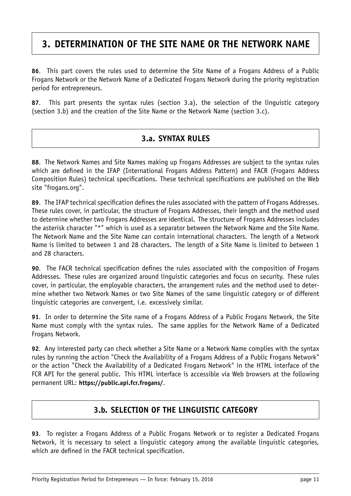# <span id="page-11-0"></span>**3. DETERMINATION OF THE SITE NAME OR THE NETWORK NAME**

**86**. This part covers the rules used to determine the Site Name of a Frogans Address of a Public Frogans Network or the Network Name of a Dedicated Frogans Network during the priority registration period for entrepreneurs.

<span id="page-11-1"></span>**87**. This part presents the syntax rules (section 3.a), the selection of the linguistic category (section 3.b) and the creation of the Site Name or the Network Name (section 3.c).

#### **3.a. SYNTAX RULES**

**88**. The Network Names and Site Names making up Frogans Addresses are subject to the syntax rules which are defined in the IFAP (International Frogans Address Pattern) and FACR (Frogans Address Composition Rules) technical specifications. These technical specifications are published on the Web site "frogans.org".

**89**. The IFAP technical specification defines the rules associated with the pattern of Frogans Addresses. These rules cover, in particular, the structure of Frogans Addresses, their length and the method used to determine whether two Frogans Addresses are identical. The structure of Frogans Addresses includes the asterisk character "\*" which is used as a separator between the Network Name and the Site Name. The Network Name and the Site Name can contain international characters. The length of a Network Name is limited to between 1 and 28 characters. The length of a Site Name is limited to between 1 and 28 characters.

**90**. The FACR technical specification defines the rules associated with the composition of Frogans Addresses. These rules are organized around linguistic categories and focus on security. These rules cover, in particular, the employable characters, the arrangement rules and the method used to determine whether two Network Names or two Site Names of the same linguistic category or of different linguistic categories are convergent, i.e. excessively similar.

**91**. In order to determine the Site name of a Frogans Address of a Public Frogans Network, the Site Name must comply with the syntax rules. The same applies for the Network Name of a Dedicated Frogans Network.

**92**. Any interested party can check whether a Site Name or a Network Name complies with the syntax rules by running the action "Check the Availability of a Frogans Address of a Public Frogans Network" or the action "Check the Availability of a Dedicated Frogans Network" in the HTML interface of the FCR API for the general public. This HTML interface is accessible via Web browsers at the following permanent URL: **<https://public.api.fcr.frogans/>**.

## **3.b. SELECTION OF THE LINGUISTIC CATEGORY**

<span id="page-11-2"></span>**93**. To register a Frogans Address of a Public Frogans Network or to register a Dedicated Frogans Network, it is necessary to select a linguistic category among the available linguistic categories, which are defined in the FACR technical specification.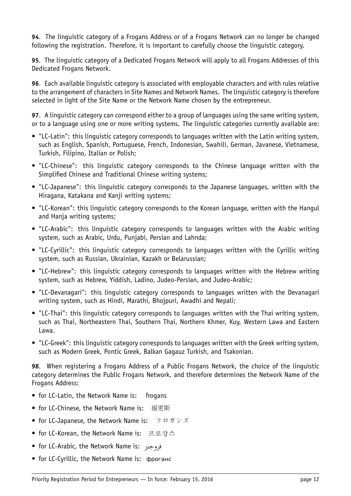**94**. The linguistic category of a Frogans Address or of a Frogans Network can no longer be changed following the registration. Therefore, it is important to carefully choose the linguistic category.

**95**. The linguistic category of a Dedicated Frogans Network will apply to all Frogans Addresses of this Dedicated Frogans Network.

**96**. Each available linguistic category is associated with employable characters and with rules relative to the arrangement of characters in Site Names and Network Names. The linguistic category is therefore selected in light of the Site Name or the Network Name chosen by the entrepreneur.

**97**. A linguistic category can correspond either to a group of languages using the same writing system, or to a language using one or more writing systems. The linguistic categories currently available are:

- "LC-Latin": this linguistic category corresponds to languages written with the Latin writing system, such as English, Spanish, Portuguese, French, Indonesian, Swahili, German, Javanese, Vietnamese, Turkish, Filipino, Italian or Polish;
- "LC-Chinese": this linguistic category corresponds to the Chinese language written with the Simplified Chinese and Traditional Chinese writing systems;
- "LC-Japanese": this linguistic category corresponds to the Japanese languages, written with the Hiragana, Katakana and Kanji writing systems;
- "LC-Korean": this linguistic category corresponds to the Korean language, written with the Hangul and Hania writing systems:
- "LC-Arabic": this linguistic category corresponds to languages written with the Arabic writing system, such as Arabic, Urdu, Punjabi, Persian and Lahnda;
- "LC-Cyrillic": this linguistic category corresponds to languages written with the Cyrillic writing system, such as Russian, Ukrainian, Kazakh or Belarussian;
- "LC-Hebrew": this linguistic category corresponds to languages written with the Hebrew writing system, such as Hebrew, Yiddish, Ladino, Judeo-Persian, and Judeo-Arabic;
- "LC-Devanagari": this linguistic category corresponds to languages written with the Devanagari writing system, such as Hindi, Marathi, Bhojpuri, Awadhi and Nepali;
- "LC-Thai": this linguistic category corresponds to languages written with the Thai writing system, such as Thai, Northeastern Thai, Southern Thai, Northern Khmer, Kuy, Western Lawa and Eastern Lawa.
- "LC-Greek": this linguistic category corresponds to languages written with the Greek writing system, such as Modern Greek, Pontic Greek, Balkan Gagauz Turkish, and Tsakonian.

**98**. When registering a Frogans Address of a Public Frogans Network, the choice of the linguistic category determines the Public Frogans Network, and therefore determines the Network Name of the Frogans Address:

- for LC-Latin, the Network Name is: frogans
- for LC-Chinese, the Network Name is: 福更斯
- for LC-Japanese, the Network Name is: フロガンズ
- for LC-Korean, the Network Name is: 프로강스
- for LC-Arabic, the Network Name is: ﴿وَجِنز
- for LC-Cyrillic, the Network Name is: фроганс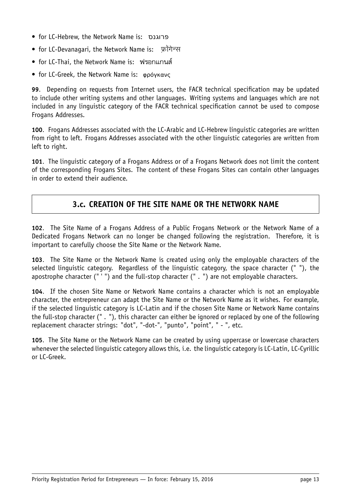- for LC-Hebrew, the Network Name is: פרוגנס
- for LC-Devanagari, the Network Name is: फ्रॉगेन्स
- for LC-Thai, the Network Name is: ฟรอกแกนส
- for LC-Greek, the Network Name is: φρόγκανς

**99**. Depending on requests from Internet users, the FACR technical specification may be updated to include other writing systems and other languages. Writing systems and languages which are not included in any linguistic category of the FACR technical specification cannot be used to compose Frogans Addresses.

**100**. Frogans Addresses associated with the LC-Arabic and LC-Hebrew linguistic categories are written from right to left. Frogans Addresses associated with the other linguistic categories are written from left to right.

<span id="page-13-0"></span>**101**. The linguistic category of a Frogans Address or of a Frogans Network does not limit the content of the corresponding Frogans Sites. The content of these Frogans Sites can contain other languages in order to extend their audience.

#### **3.c. CREATION OF THE SITE NAME OR THE NETWORK NAME**

**102**. The Site Name of a Frogans Address of a Public Frogans Network or the Network Name of a Dedicated Frogans Network can no longer be changed following the registration. Therefore, it is important to carefully choose the Site Name or the Network Name.

**103**. The Site Name or the Network Name is created using only the employable characters of the selected linguistic category. Regardless of the linguistic category, the space character (" "), the apostrophe character (" ' ") and the full-stop character (" . ") are not employable characters.

**104**. If the chosen Site Name or Network Name contains a character which is not an employable character, the entrepreneur can adapt the Site Name or the Network Name as it wishes. For example, if the selected linguistic category is LC-Latin and if the chosen Site Name or Network Name contains the full-stop character (" . "), this character can either be ignored or replaced by one of the following replacement character strings: "dot", "-dot-", "punto", "point", " - ", etc.

**105**. The Site Name or the Network Name can be created by using uppercase or lowercase characters whenever the selected linguistic category allows this, i.e. the linguistic category is LC-Latin, LC-Cyrillic or LC-Greek.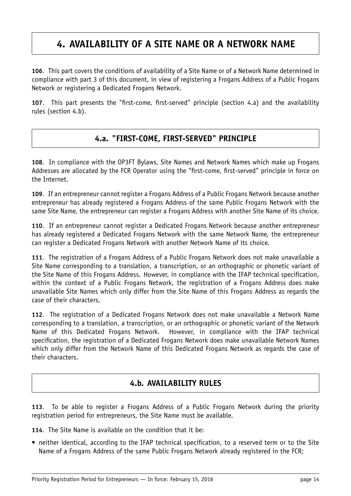# <span id="page-14-0"></span>**4. AVAILABILITY OF A SITE NAME OR A NETWORK NAME**

**106**. This part covers the conditions of availability of a Site Name or of a Network Name determined in compliance with part 3 of this document, in view of registering a Frogans Address of a Public Frogans Network or registering a Dedicated Frogans Network.

<span id="page-14-1"></span>**107**. This part presents the "first-come, first-served" principle (section 4.a) and the availability rules (section 4.b).

### **4.a. "FIRST-COME, FIRST-SERVED" PRINCIPLE**

**108**. In compliance with the OP3FT Bylaws, Site Names and Network Names which make up Frogans Addresses are allocated by the FCR Operator using the "first-come, first-served" principle in force on the Internet.

**109**. If an entrepreneur cannot register a Frogans Address of a Public Frogans Network because another entrepreneur has already registered a Frogans Address of the same Public Frogans Network with the same Site Name, the entrepreneur can register a Frogans Address with another Site Name of its choice.

**110**. If an entrepreneur cannot register a Dedicated Frogans Network because another entrepreneur has already registered a Dedicated Frogans Network with the same Network Name, the entrepreneur can register a Dedicated Frogans Network with another Network Name of its choice.

**111**. The registration of a Frogans Address of a Public Frogans Network does not make unavailable a Site Name corresponding to a translation, a transcription, or an orthographic or phonetic variant of the Site Name of this Frogans Address. However, in compliance with the IFAP technical specification, within the context of a Public Frogans Network, the registration of a Frogans Address does make unavailable Site Names which only differ from the Site Name of this Frogans Address as regards the case of their characters.

**112**. The registration of a Dedicated Frogans Network does not make unavailable a Network Name corresponding to a translation, a transcription, or an orthographic or phonetic variant of the Network Name of this Dedicated Frogans Network. However, in compliance with the IFAP technical specification, the registration of a Dedicated Frogans Network does make unavailable Network Names which only differ from the Network Name of this Dedicated Frogans Network as regards the case of their characters.

#### **4.b. AVAILABILITY RULES**

<span id="page-14-2"></span>**113**. To be able to register a Frogans Address of a Public Frogans Network during the priority registration period for entrepreneurs, the Site Name must be available.

**114**. The Site Name is available on the condition that it be:

• neither identical, according to the IFAP technical specification, to a reserved term or to the Site Name of a Frogans Address of the same Public Frogans Network already registered in the FCR;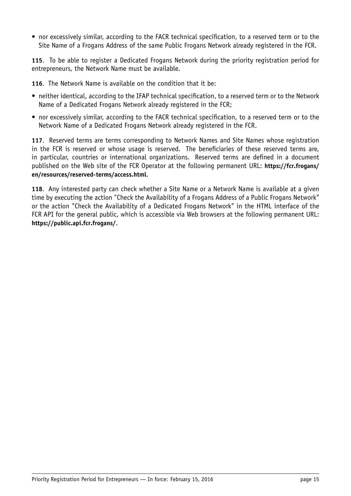• nor excessively similar, according to the FACR technical specification, to a reserved term or to the Site Name of a Frogans Address of the same Public Frogans Network already registered in the FCR.

**115**. To be able to register a Dedicated Frogans Network during the priority registration period for entrepreneurs, the Network Name must be available.

**116**. The Network Name is available on the condition that it be:

- neither identical, according to the IFAP technical specification, to a reserved term or to the Network Name of a Dedicated Frogans Network already registered in the FCR;
- nor excessively similar, according to the FACR technical specification, to a reserved term or to the Network Name of a Dedicated Frogans Network already registered in the FCR.

**117**. Reserved terms are terms corresponding to Network Names and Site Names whose registration in the FCR is reserved or whose usage is reserved. The beneficiaries of these reserved terms are, in particular, countries or international organizations. Reserved terms are defined in a document published on the Web site of the FCR Operator at the following permanent URL: **[https://fcr.frogans/](https://fcr.frogans/en/resources/reserved-terms/access.html) [en/resources/reserved-terms/access.html](https://fcr.frogans/en/resources/reserved-terms/access.html)**.

**118**. Any interested party can check whether a Site Name or a Network Name is available at a given time by executing the action "Check the Availability of a Frogans Address of a Public Frogans Network" or the action "Check the Availability of a Dedicated Frogans Network" in the HTML interface of the FCR API for the general public, which is accessible via Web browsers at the following permanent URL: **<https://public.api.fcr.frogans/>**.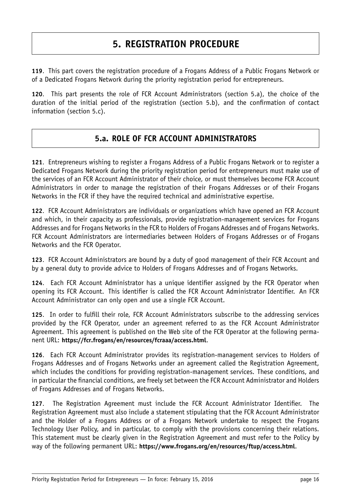# **5. REGISTRATION PROCEDURE**

<span id="page-16-0"></span>**119**. This part covers the registration procedure of a Frogans Address of a Public Frogans Network or of a Dedicated Frogans Network during the priority registration period for entrepreneurs.

<span id="page-16-1"></span>**120**. This part presents the role of FCR Account Administrators (section 5.a), the choice of the duration of the initial period of the registration (section 5.b), and the confirmation of contact information (section 5.c).

### **5.a. ROLE OF FCR ACCOUNT ADMINISTRATORS**

**121**. Entrepreneurs wishing to register a Frogans Address of a Public Frogans Network or to register a Dedicated Frogans Network during the priority registration period for entrepreneurs must make use of the services of an FCR Account Administrator of their choice, or must themselves become FCR Account Administrators in order to manage the registration of their Frogans Addresses or of their Frogans Networks in the FCR if they have the required technical and administrative expertise.

**122**. FCR Account Administrators are individuals or organizations which have opened an FCR Account and which, in their capacity as professionals, provide registration-management services for Frogans Addresses and for Frogans Networks in the FCR to Holders of Frogans Addresses and of Frogans Networks. FCR Account Administrators are intermediaries between Holders of Frogans Addresses or of Frogans Networks and the FCR Operator.

**123**. FCR Account Administrators are bound by a duty of good management of their FCR Account and by a general duty to provide advice to Holders of Frogans Addresses and of Frogans Networks.

**124**. Each FCR Account Administrator has a unique identifier assigned by the FCR Operator when opening its FCR Account. This identifier is called the FCR Account Administrator Identifier. An FCR Account Administrator can only open and use a single FCR Account.

**125**. In order to fulfill their role, FCR Account Administrators subscribe to the addressing services provided by the FCR Operator, under an agreement referred to as the FCR Account Administrator Agreement. This agreement is published on the Web site of the FCR Operator at the following permanent URL: **<https://fcr.frogans/en/resources/fcraaa/access.html>**.

**126**. Each FCR Account Administrator provides its registration-management services to Holders of Frogans Addresses and of Frogans Networks under an agreement called the Registration Agreement, which includes the conditions for providing registration-management services. These conditions, and in particular the financial conditions, are freely set between the FCR Account Administrator and Holders of Frogans Addresses and of Frogans Networks.

**127**. The Registration Agreement must include the FCR Account Administrator Identifier. The Registration Agreement must also include a statement stipulating that the FCR Account Administrator and the Holder of a Frogans Address or of a Frogans Network undertake to respect the Frogans Technology User Policy, and in particular, to comply with the provisions concerning their relations. This statement must be clearly given in the Registration Agreement and must refer to the Policy by way of the following permanent URL: **<https://www.frogans.org/en/resources/ftup/access.html>**.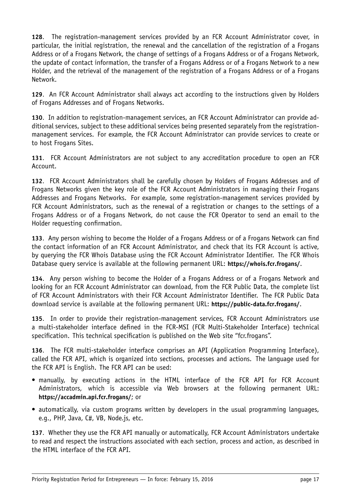**128**. The registration-management services provided by an FCR Account Administrator cover, in particular, the initial registration, the renewal and the cancellation of the registration of a Frogans Address or of a Frogans Network, the change of settings of a Frogans Address or of a Frogans Network, the update of contact information, the transfer of a Frogans Address or of a Frogans Network to a new Holder, and the retrieval of the management of the registration of a Frogans Address or of a Frogans Network.

**129**. An FCR Account Administrator shall always act according to the instructions given by Holders of Frogans Addresses and of Frogans Networks.

**130**. In addition to registration-management services, an FCR Account Administrator can provide additional services, subject to these additional services being presented separately from the registrationmanagement services. For example, the FCR Account Administrator can provide services to create or to host Frogans Sites.

**131**. FCR Account Administrators are not subject to any accreditation procedure to open an FCR Account.

**132**. FCR Account Administrators shall be carefully chosen by Holders of Frogans Addresses and of Frogans Networks given the key role of the FCR Account Administrators in managing their Frogans Addresses and Frogans Networks. For example, some registration-management services provided by FCR Account Administrators, such as the renewal of a registration or changes to the settings of a Frogans Address or of a Frogans Network, do not cause the FCR Operator to send an email to the Holder requesting confirmation.

**133**. Any person wishing to become the Holder of a Frogans Address or of a Frogans Network can find the contact information of an FCR Account Administrator, and check that its FCR Account is active, by querying the FCR Whois Database using the FCR Account Administrator Identifier. The FCR Whois Database query service is available at the following permanent URL: **<https://whois.fcr.frogans/>**.

**134**. Any person wishing to become the Holder of a Frogans Address or of a Frogans Network and looking for an FCR Account Administrator can download, from the FCR Public Data, the complete list of FCR Account Administrators with their FCR Account Administrator Identifier. The FCR Public Data download service is available at the following permanent URL: **<https://public-data.fcr.frogans/>**.

**135**. In order to provide their registration-management services, FCR Account Administrators use a multi-stakeholder interface defined in the FCR-MSI (FCR Multi-Stakeholder Interface) technical specification. This technical specification is published on the Web site "fcr.frogans".

**136**. The FCR multi-stakeholder interface comprises an API (Application Programming Interface), called the FCR API, which is organized into sections, processes and actions. The language used for the FCR API is English. The FCR API can be used:

- manually, by executing actions in the HTML interface of the FCR API for FCR Account Administrators, which is accessible via Web browsers at the following permanent URL: **<https://accadmin.api.fcr.frogans/>**; or
- automatically, via custom programs written by developers in the usual programming languages, e.g., PHP, Java, C#, VB, Node.js, etc.

**137**. Whether they use the FCR API manually or automatically, FCR Account Administrators undertake to read and respect the instructions associated with each section, process and action, as described in the HTML interface of the FCR API.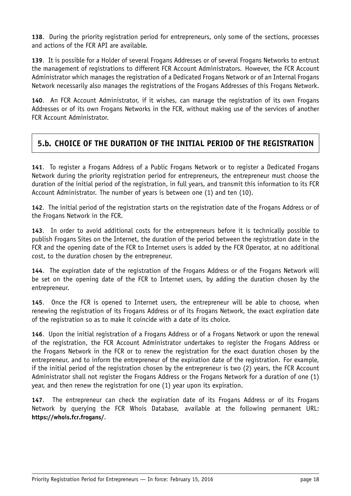**138**. During the priority registration period for entrepreneurs, only some of the sections, processes and actions of the FCR API are available.

**139**. It is possible for a Holder of several Frogans Addresses or of several Frogans Networks to entrust the management of registrations to different FCR Account Administrators. However, the FCR Account Administrator which manages the registration of a Dedicated Frogans Network or of an Internal Frogans Network necessarily also manages the registrations of the Frogans Addresses of this Frogans Network.

**140**. An FCR Account Administrator, if it wishes, can manage the registration of its own Frogans Addresses or of its own Frogans Networks in the FCR, without making use of the services of another FCR Account Administrator.

## <span id="page-18-0"></span>**5.b. CHOICE OF THE DURATION OF THE INITIAL PERIOD OF THE REGISTRATION**

**141**. To register a Frogans Address of a Public Frogans Network or to register a Dedicated Frogans Network during the priority registration period for entrepreneurs, the entrepreneur must choose the duration of the initial period of the registration, in full years, and transmit this information to its FCR Account Administrator. The number of years is between one (1) and ten (10).

**142**. The initial period of the registration starts on the registration date of the Frogans Address or of the Frogans Network in the FCR.

**143**. In order to avoid additional costs for the entrepreneurs before it is technically possible to publish Frogans Sites on the Internet, the duration of the period between the registration date in the FCR and the opening date of the FCR to Internet users is added by the FCR Operator, at no additional cost, to the duration chosen by the entrepreneur.

**144**. The expiration date of the registration of the Frogans Address or of the Frogans Network will be set on the opening date of the FCR to Internet users, by adding the duration chosen by the entrepreneur.

**145**. Once the FCR is opened to Internet users, the entrepreneur will be able to choose, when renewing the registration of its Frogans Address or of its Frogans Network, the exact expiration date of the registration so as to make it coincide with a date of its choice.

**146**. Upon the initial registration of a Frogans Address or of a Frogans Network or upon the renewal of the registration, the FCR Account Administrator undertakes to register the Frogans Address or the Frogans Network in the FCR or to renew the registration for the exact duration chosen by the entrepreneur, and to inform the entrepreneur of the expiration date of the registration. For example, if the initial period of the registration chosen by the entrepreneur is two (2) years, the FCR Account Administrator shall not register the Frogans Address or the Frogans Network for a duration of one (1) year, and then renew the registration for one (1) year upon its expiration.

**147**. The entrepreneur can check the expiration date of its Frogans Address or of its Frogans Network by querying the FCR Whois Database, available at the following permanent URL: **<https://whois.fcr.frogans/>**.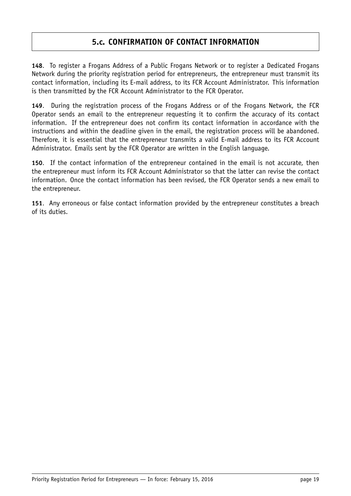### **5.c. CONFIRMATION OF CONTACT INFORMATION**

<span id="page-19-0"></span>**148**. To register a Frogans Address of a Public Frogans Network or to register a Dedicated Frogans Network during the priority registration period for entrepreneurs, the entrepreneur must transmit its contact information, including its E-mail address, to its FCR Account Administrator. This information is then transmitted by the FCR Account Administrator to the FCR Operator.

**149**. During the registration process of the Frogans Address or of the Frogans Network, the FCR Operator sends an email to the entrepreneur requesting it to confirm the accuracy of its contact information. If the entrepreneur does not confirm its contact information in accordance with the instructions and within the deadline given in the email, the registration process will be abandoned. Therefore, it is essential that the entrepreneur transmits a valid E-mail address to its FCR Account Administrator. Emails sent by the FCR Operator are written in the English language.

**150**. If the contact information of the entrepreneur contained in the email is not accurate, then the entrepreneur must inform its FCR Account Administrator so that the latter can revise the contact information. Once the contact information has been revised, the FCR Operator sends a new email to the entrepreneur.

**151**. Any erroneous or false contact information provided by the entrepreneur constitutes a breach of its duties.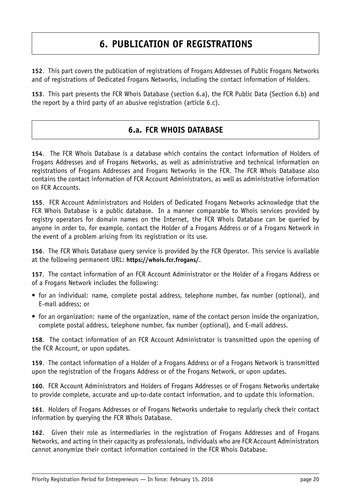# **6. PUBLICATION OF REGISTRATIONS**

<span id="page-20-0"></span>**152**. This part covers the publication of registrations of Frogans Addresses of Public Frogans Networks and of registrations of Dedicated Frogans Networks, including the contact information of Holders.

<span id="page-20-1"></span>**153**. This part presents the FCR Whois Database (section 6.a), the FCR Public Data (Section 6.b) and the report by a third party of an abusive registration (article 6.c).

### **6.a. FCR WHOIS DATABASE**

**154**. The FCR Whois Database is a database which contains the contact information of Holders of Frogans Addresses and of Frogans Networks, as well as administrative and technical information on registrations of Frogans Addresses and Frogans Networks in the FCR. The FCR Whois Database also contains the contact information of FCR Account Administrators, as well as administrative information on FCR Accounts.

**155**. FCR Account Administrators and Holders of Dedicated Frogans Networks acknowledge that the FCR Whois Database is a public database. In a manner comparable to Whois services provided by registry operators for domain names on the Internet, the FCR Whois Database can be queried by anyone in order to, for example, contact the Holder of a Frogans Address or of a Frogans Network in the event of a problem arising from its registration or its use.

**156**. The FCR Whois Database query service is provided by the FCR Operator. This service is available at the following permanent URL: **<https://whois.fcr.frogans/>**.

**157**. The contact information of an FCR Account Administrator or the Holder of a Frogans Address or of a Frogans Network includes the following:

- for an individual: name, complete postal address, telephone number, fax number (optional), and E-mail address; or
- for an organization: name of the organization, name of the contact person inside the organization, complete postal address, telephone number, fax number (optional), and E-mail address.

**158**. The contact information of an FCR Account Administrator is transmitted upon the opening of the FCR Account, or upon updates.

**159**. The contact information of a Holder of a Frogans Address or of a Frogans Network is transmitted upon the registration of the Frogans Address or of the Frogans Network, or upon updates.

**160**. FCR Account Administrators and Holders of Frogans Addresses or of Frogans Networks undertake to provide complete, accurate and up-to-date contact information, and to update this information.

**161**. Holders of Frogans Addresses or of Frogans Networks undertake to regularly check their contact information by querying the FCR Whois Database.

**162**. Given their role as intermediaries in the registration of Frogans Addresses and of Frogans Networks, and acting in their capacity as professionals, individuals who are FCR Account Administrators cannot anonymize their contact information contained in the FCR Whois Database.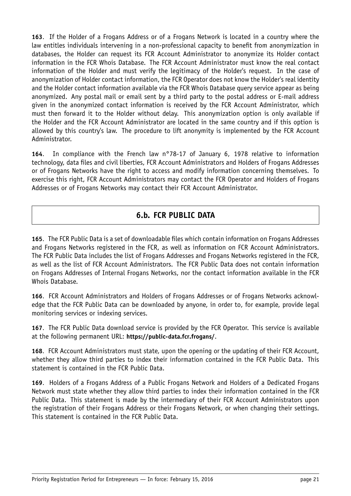**163**. If the Holder of a Frogans Address or of a Frogans Network is located in a country where the law entitles individuals intervening in a non-professional capacity to benefit from anonymization in databases, the Holder can request its FCR Account Administrator to anonymize its Holder contact information in the FCR Whois Database. The FCR Account Administrator must know the real contact information of the Holder and must verify the legitimacy of the Holder's request. In the case of anonymization of Holder contact information, the FCR Operator does not know the Holder's real identity and the Holder contact information available via the FCR Whois Database query service appear as being anonymized. Any postal mail or email sent by a third party to the postal address or E-mail address given in the anonymized contact information is received by the FCR Account Administrator, which must then forward it to the Holder without delay. This anonymization option is only available if the Holder and the FCR Account Administrator are located in the same country and if this option is allowed by this country's law. The procedure to lift anonymity is implemented by the FCR Account Administrator.

**164**. In compliance with the French law n°78-17 of January 6, 1978 relative to information technology, data files and civil liberties, FCR Account Administrators and Holders of Frogans Addresses or of Frogans Networks have the right to access and modify information concerning themselves. To exercise this right, FCR Account Administrators may contact the FCR Operator and Holders of Frogans Addresses or of Frogans Networks may contact their FCR Account Administrator.

## **6.b. FCR PUBLIC DATA**

<span id="page-21-0"></span>**165**. The FCR Public Data is a set of downloadable files which contain information on Frogans Addresses and Frogans Networks registered in the FCR, as well as information on FCR Account Administrators. The FCR Public Data includes the list of Frogans Addresses and Frogans Networks registered in the FCR, as well as the list of FCR Account Administrators. The FCR Public Data does not contain information on Frogans Addresses of Internal Frogans Networks, nor the contact information available in the FCR Whois Database.

**166**. FCR Account Administrators and Holders of Frogans Addresses or of Frogans Networks acknowledge that the FCR Public Data can be downloaded by anyone, in order to, for example, provide legal monitoring services or indexing services.

**167**. The FCR Public Data download service is provided by the FCR Operator. This service is available at the following permanent URL: **<https://public-data.fcr.frogans/>**.

**168**. FCR Account Administrators must state, upon the opening or the updating of their FCR Account, whether they allow third parties to index their information contained in the FCR Public Data. This statement is contained in the FCR Public Data.

**169**. Holders of a Frogans Address of a Public Frogans Network and Holders of a Dedicated Frogans Network must state whether they allow third parties to index their information contained in the FCR Public Data. This statement is made by the intermediary of their FCR Account Administrators upon the registration of their Frogans Address or their Frogans Network, or when changing their settings. This statement is contained in the FCR Public Data.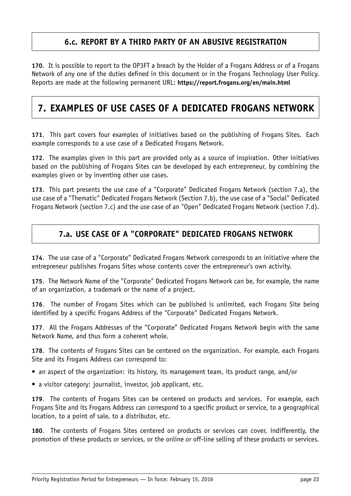### **6.c. REPORT BY A THIRD PARTY OF AN ABUSIVE REGISTRATION**

<span id="page-22-0"></span>**170**. It is possible to report to the OP3FT a breach by the Holder of a Frogans Address or of a Frogans Network of any one of the duties defined in this document or in the Frogans Technology User Policy. Reports are made at the following permanent URL: **<https://report.frogans.org/en/main.html>**

# <span id="page-22-1"></span>**7. EXAMPLES OF USE CASES OF A DEDICATED FROGANS NETWORK**

**171**. This part covers four examples of initiatives based on the publishing of Frogans Sites. Each example corresponds to a use case of a Dedicated Frogans Network.

**172**. The examples given in this part are provided only as a source of inspiration. Other initiatives based on the publishing of Frogans Sites can be developed by each entrepreneur, by combining the examples given or by inventing other use cases.

**173**. This part presents the use case of a "Corporate" Dedicated Frogans Network (section 7.a), the use case of a "Thematic" Dedicated Frogans Network (Section 7.b), the use case of a "Social" Dedicated Frogans Network (section 7.c) and the use case of an "Open" Dedicated Frogans Network (section 7.d).

### <span id="page-22-2"></span>**7.a. USE CASE OF A "CORPORATE" DEDICATED FROGANS NETWORK**

**174**. The use case of a "Corporate" Dedicated Frogans Network corresponds to an initiative where the entrepreneur publishes Frogans Sites whose contents cover the entrepreneur's own activity.

**175**. The Network Name of the "Corporate" Dedicated Frogans Network can be, for example, the name of an organization, a trademark or the name of a project.

**176**. The number of Frogans Sites which can be published is unlimited, each Frogans Site being identified by a specific Frogans Address of the "Corporate" Dedicated Frogans Network.

**177**. All the Frogans Addresses of the "Corporate" Dedicated Frogans Network begin with the same Network Name, and thus form a coherent whole.

**178**. The contents of Frogans Sites can be centered on the organization. For example, each Frogans Site and its Frogans Address can correspond to:

- an aspect of the organization: its history, its management team, its product range, and/or
- a visitor category: journalist, investor, job applicant, etc.

**179**. The contents of Frogans Sites can be centered on products and services. For example, each Frogans Site and its Frogans Address can correspond to a specific product or service, to a geographical location, to a point of sale, to a distributor, etc.

**180**. The contents of Frogans Sites centered on products or services can cover, indifferently, the promotion of these products or services, or the online or off-line selling of these products or services.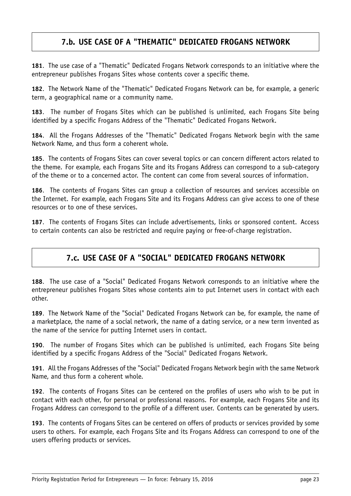## **7.b. USE CASE OF A "THEMATIC" DEDICATED FROGANS NETWORK**

<span id="page-23-0"></span>**181**. The use case of a "Thematic" Dedicated Frogans Network corresponds to an initiative where the entrepreneur publishes Frogans Sites whose contents cover a specific theme.

**182**. The Network Name of the "Thematic" Dedicated Frogans Network can be, for example, a generic term, a geographical name or a community name.

**183**. The number of Frogans Sites which can be published is unlimited, each Frogans Site being identified by a specific Frogans Address of the "Thematic" Dedicated Frogans Network.

**184**. All the Frogans Addresses of the "Thematic" Dedicated Frogans Network begin with the same Network Name, and thus form a coherent whole.

**185**. The contents of Frogans Sites can cover several topics or can concern different actors related to the theme. For example, each Frogans Site and its Frogans Address can correspond to a sub-category of the theme or to a concerned actor. The content can come from several sources of information.

**186**. The contents of Frogans Sites can group a collection of resources and services accessible on the Internet. For example, each Frogans Site and its Frogans Address can give access to one of these resources or to one of these services.

<span id="page-23-1"></span>**187**. The contents of Frogans Sites can include advertisements, links or sponsored content. Access to certain contents can also be restricted and require paying or free-of-charge registration.

## **7.c. USE CASE OF A "SOCIAL" DEDICATED FROGANS NETWORK**

**188**. The use case of a "Social" Dedicated Frogans Network corresponds to an initiative where the entrepreneur publishes Frogans Sites whose contents aim to put Internet users in contact with each other.

**189**. The Network Name of the "Social" Dedicated Frogans Network can be, for example, the name of a marketplace, the name of a social network, the name of a dating service, or a new term invented as the name of the service for putting Internet users in contact.

**190**. The number of Frogans Sites which can be published is unlimited, each Frogans Site being identified by a specific Frogans Address of the "Social" Dedicated Frogans Network.

**191**. All the Frogans Addresses of the "Social" Dedicated Frogans Network begin with the same Network Name, and thus form a coherent whole.

**192**. The contents of Frogans Sites can be centered on the profiles of users who wish to be put in contact with each other, for personal or professional reasons. For example, each Frogans Site and its Frogans Address can correspond to the profile of a different user. Contents can be generated by users.

**193**. The contents of Frogans Sites can be centered on offers of products or services provided by some users to others. For example, each Frogans Site and its Frogans Address can correspond to one of the users offering products or services.